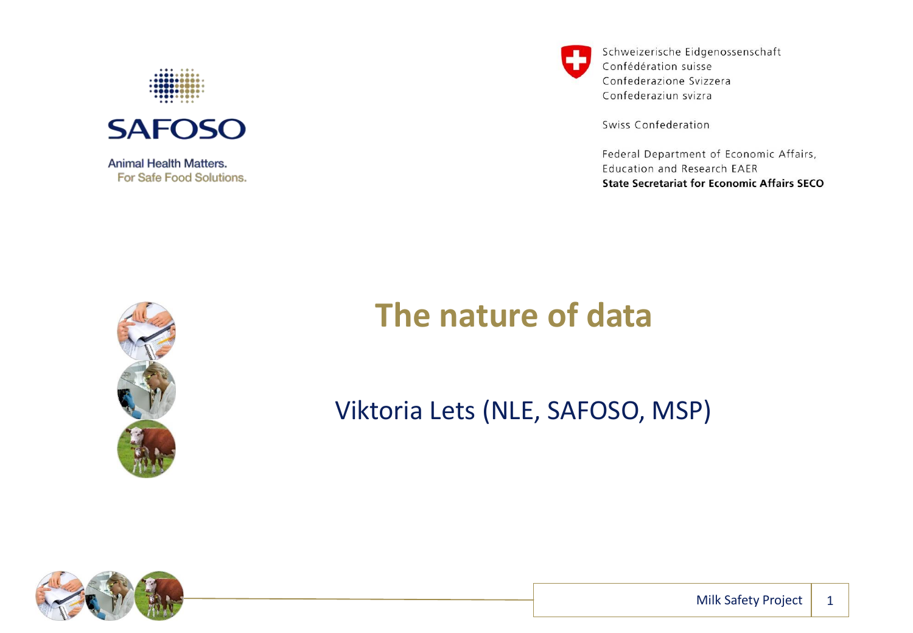



**Animal Health Matters.** For Safe Food Solutions. Schweizerische Eidgenossenschaft Confédération suisse Confederazione Svizzera Confederaziun svizra

Swiss Confederation

Federal Department of Economic Affairs, Education and Research EAER **State Secretariat for Economic Affairs SECO** 



#### **The nature of data**

Viktoria Lets (NLE, SAFOSO, MSP)

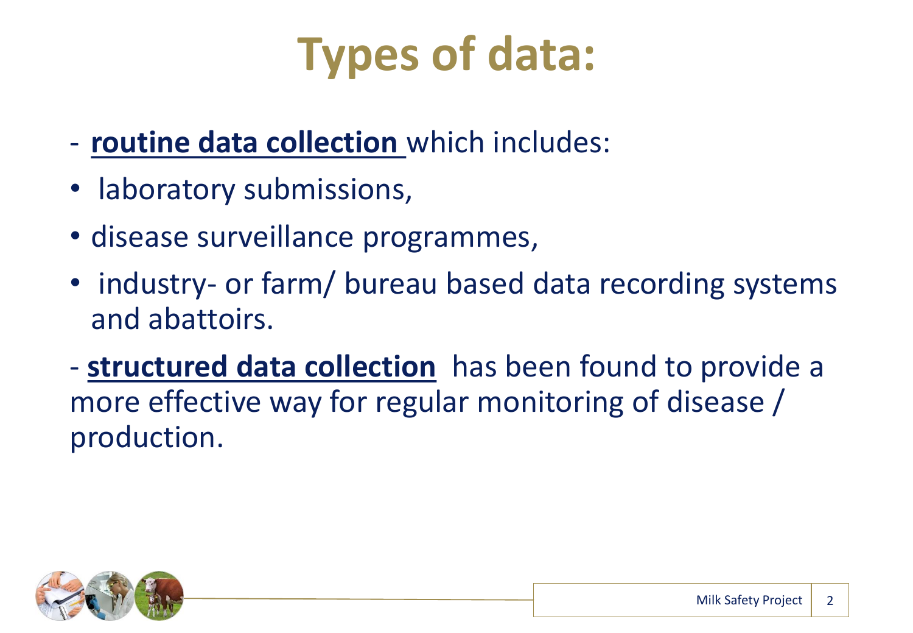

- **routine data collection** which includes:
- laboratory submissions,
- disease surveillance programmes,
- industry- or farm/ bureau based data recording systems and abattoirs.
- **structured data collection** has been found to provide a more effective way for regular monitoring of disease / production.

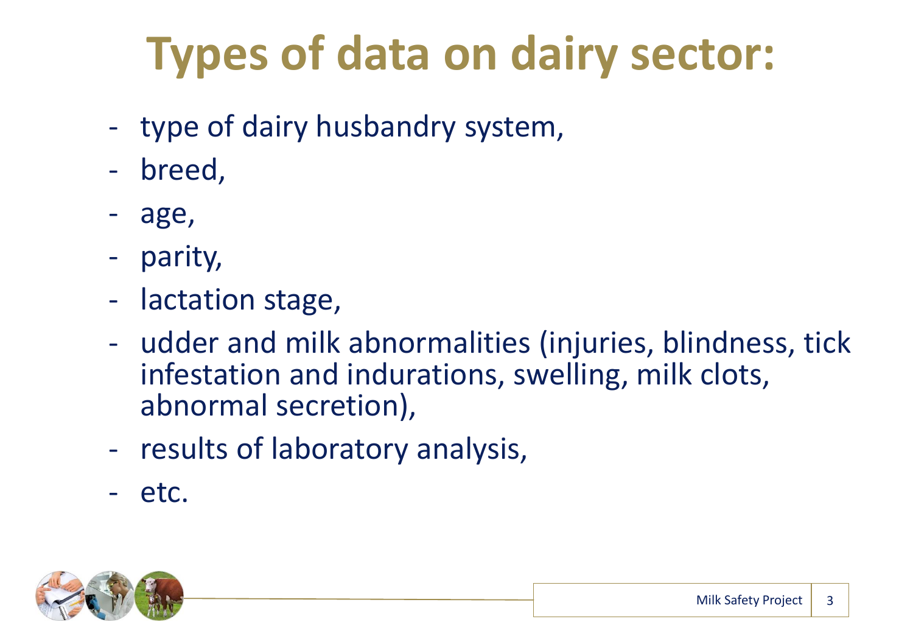# **Types of data on dairy sector:**

- type of dairy husbandry system,
- breed,
- age,
- parity,
- lactation stage,
- udder and milk abnormalities (injuries, blindness, tick infestation and indurations, swelling, milk clots, abnormal secretion),
- results of laboratory analysis,
- etc.

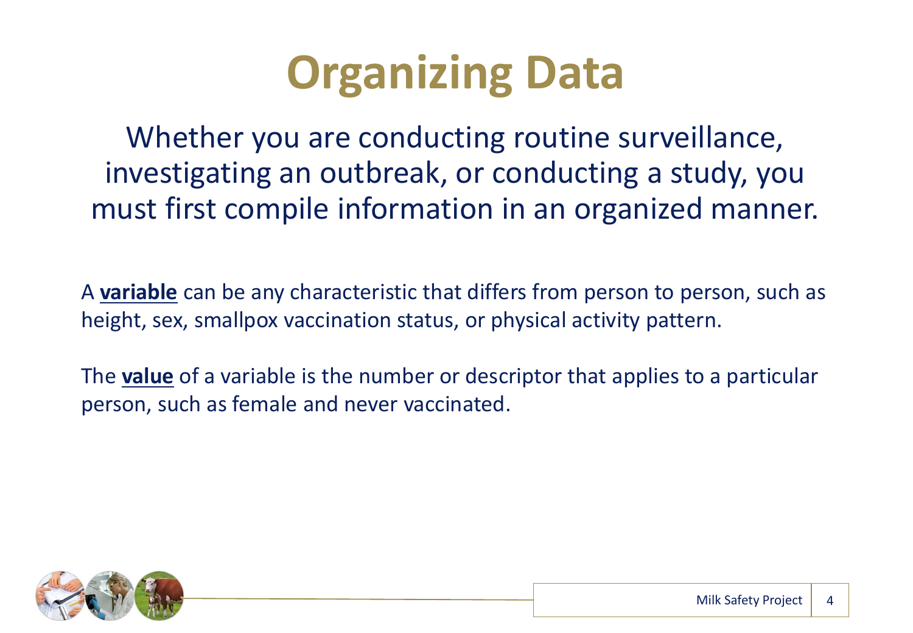## **Organizing Data**

Whether you are conducting routine surveillance, investigating an outbreak, or conducting a study, you must first compile information in an organized manner.

A **variable** can be any characteristic that differs from person to person, such as height, sex, smallpox vaccination status, or physical activity pattern.

The **value** of a variable is the number or descriptor that applies to a particular person, such as female and never vaccinated.

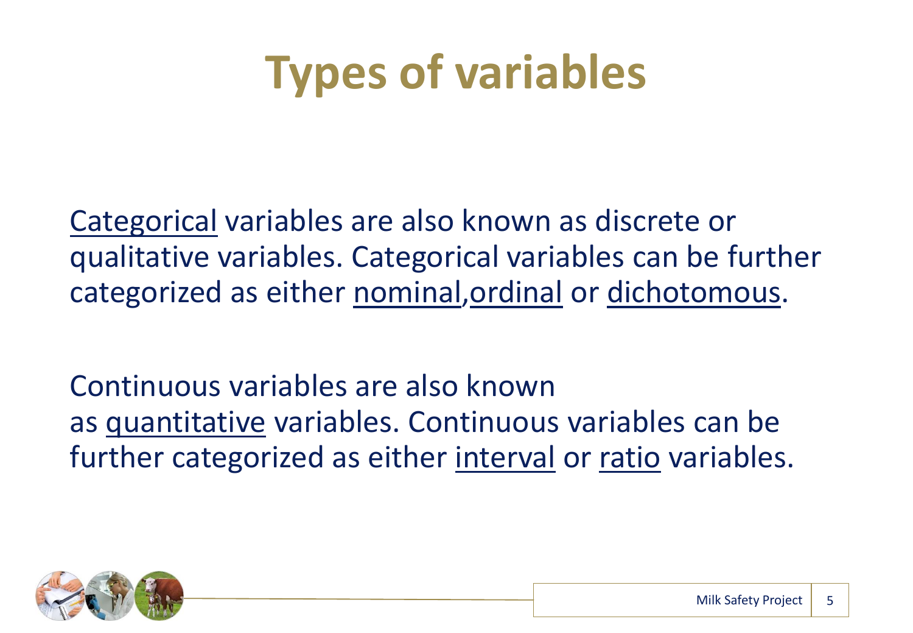## **Types of variables**

Categorical variables are also known as discrete or qualitative variables. Categorical variables can be further categorized as either nominal,ordinal or dichotomous.

Continuous variables are also known as quantitative variables. Continuous variables can be further categorized as either interval or ratio variables.

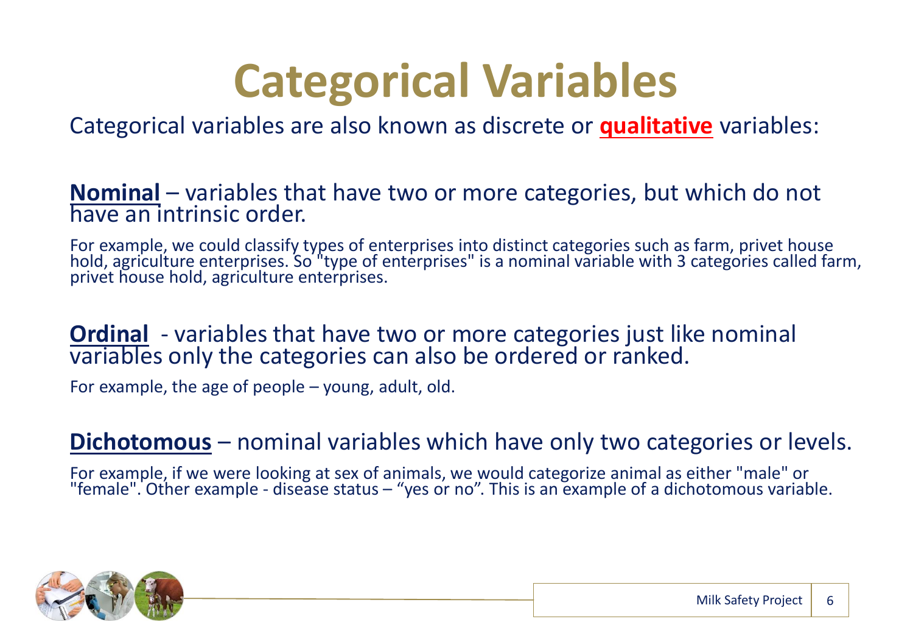## **Categorical Variables**

Categorical variables are also known as discrete or **qualitative** variables:

#### **Nominal** – variables that have two or more categories, but which do not have an intrinsic order.

For example, we could classify types of enterprises into distinct categories such as farm, privet house hold, agriculture enterprises. So "type of enterprises" is a nominal variable with 3 categories called farm, privet house hold, agriculture enterprises.

#### **Ordinal** - variables that have two or more categories just like nominal variables only the categories can also be ordered or ranked.

For example, the age of people – young, adult, old.

#### **Dichotomous** – nominal variables which have only two categories or levels.

For example, if we were looking at sex of animals, we would categorize animal as either "male" or "female". Other example - disease status – "yes or no". This is an example of a dichotomous variable.

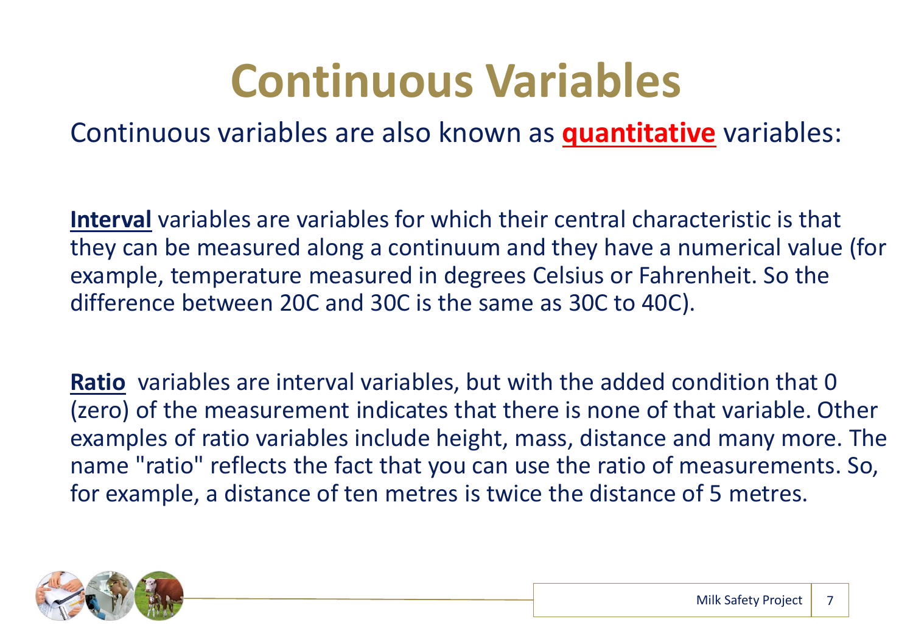## **Continuous Variables**

Continuous variables are also known as **quantitative** variables:

**Interval** variables are variables for which their central characteristic is that they can be measured along a continuum and they have a numerical value (for example, temperature measured in degrees Celsius or Fahrenheit. So the difference between 20C and 30C is the same as 30C to 40C).

**Ratio** variables are interval variables, but with the added condition that 0 (zero) of the measurement indicates that there is none of that variable. Other examples of ratio variables include height, mass, distance and many more. The name "ratio" reflects the fact that you can use the ratio of measurements. So, for example, a distance of ten metres is twice the distance of 5 metres.

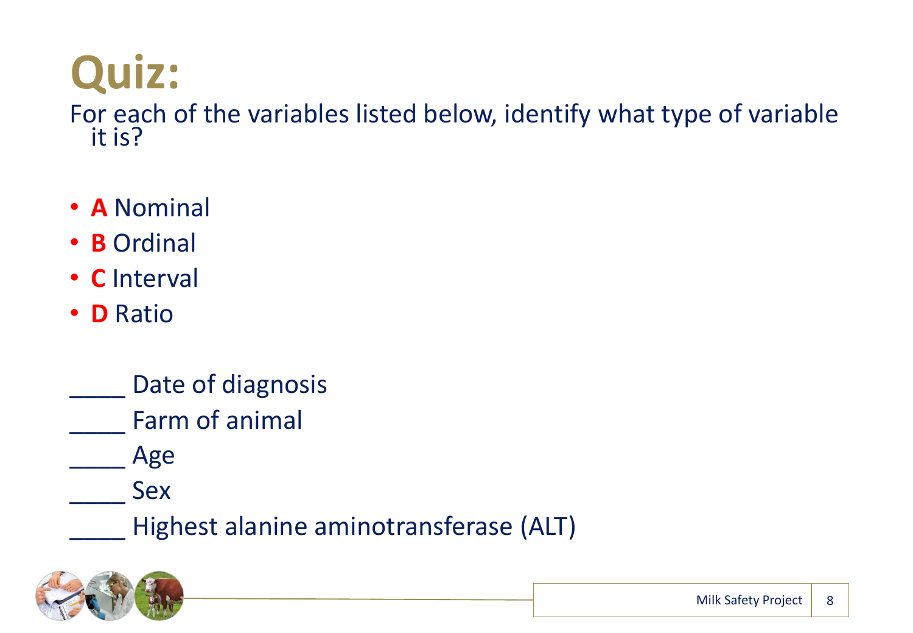# **Quiz:**

For each of the variables listed below, identify what type of variable it is?

- **A** Nominal
- **B** Ordinal
- **C** Interval
- **D** Ratio
	- Date of diagnosis
		- Farm of animal

\_\_\_\_ Age

\_\_\_\_ Sex

Highest alanine aminotransferase (ALT)

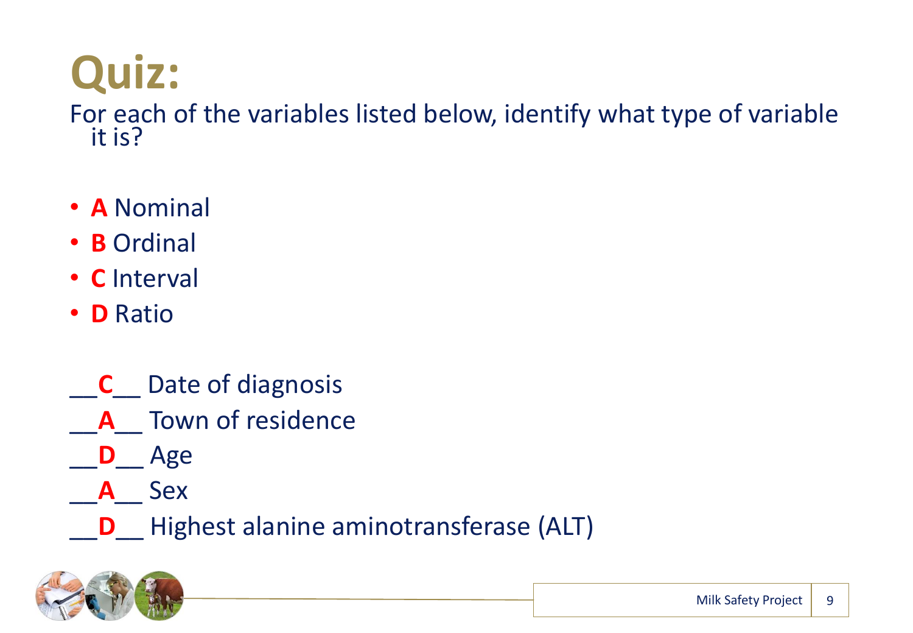# **Quiz:**

For each of the variables listed below, identify what type of variable it is?

- **A** Nominal
- **B** Ordinal
- **C** Interval
- **D** Ratio
- \_\_**C**\_\_ Date of diagnosis
- \_\_**A**\_\_ Town of residence
- \_\_**D**\_\_ Age
	- \_\_**A**\_\_ Sex
	- \_\_**D**\_\_ Highest alanine aminotransferase (ALT)

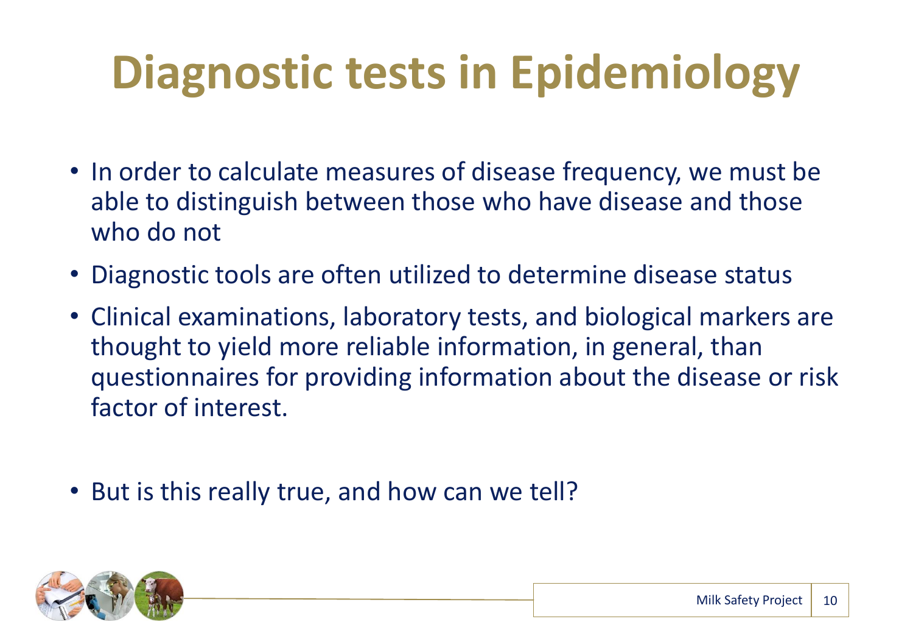# **Diagnostic tests in Epidemiology**

- In order to calculate measures of disease frequency, we must be able to distinguish between those who have disease and those who do not
- Diagnostic tools are often utilized to determine disease status
- Clinical examinations, laboratory tests, and biological markers are thought to yield more reliable information, in general, than questionnaires for providing information about the disease or risk factor of interest.
- But is this really true, and how can we tell?

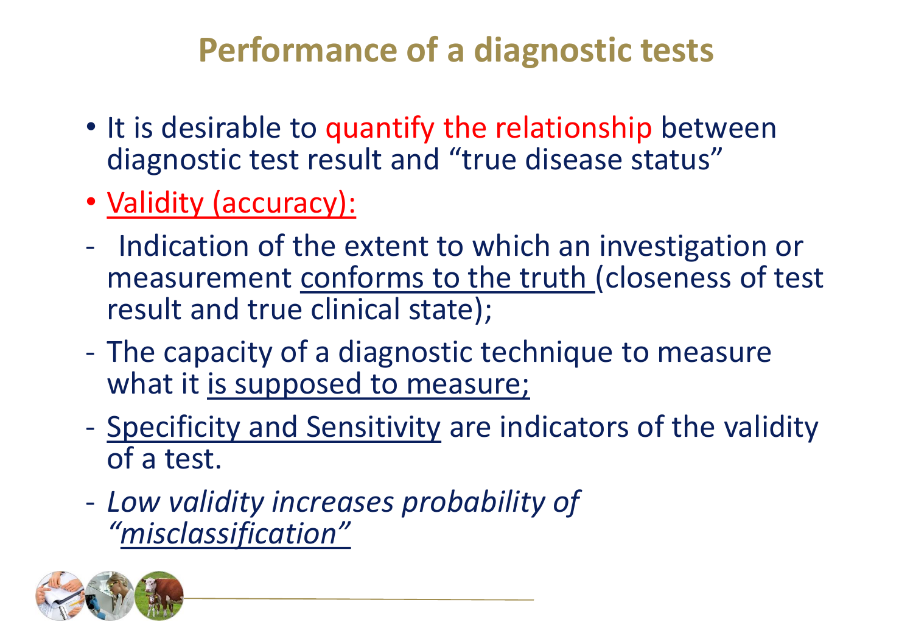- It is desirable to quantify the relationship between diagnostic test result and "true disease status"
- Validity (accuracy):
- Indication of the extent to which an investigation or measurement conforms to the truth (closeness of test result and true clinical state);
- The capacity of a diagnostic technique to measure what it is supposed to measure;
- Specificity and Sensitivity are indicators of the validity of a test.
- *Low validity increases probability of "misclassification"*

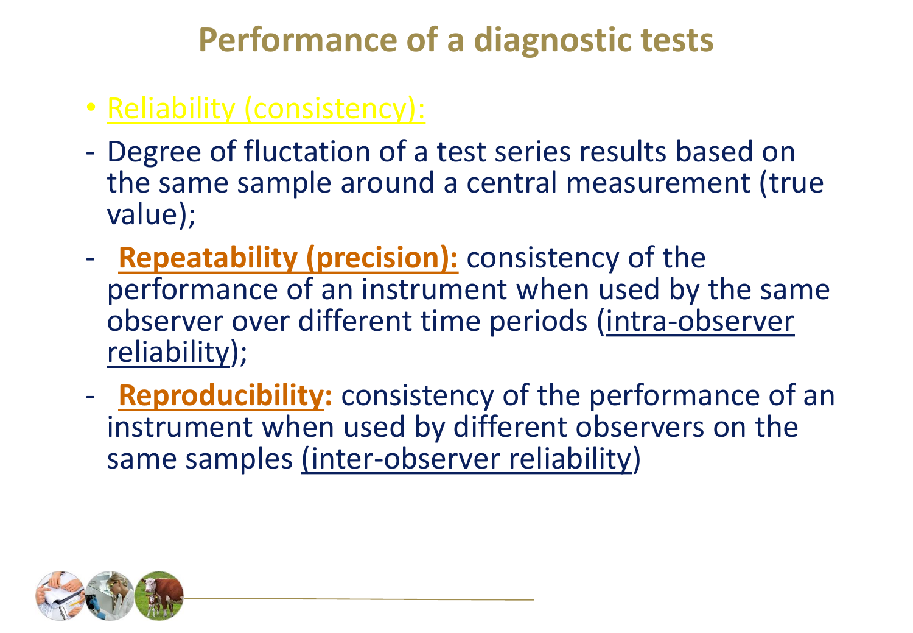- Reliability (consistency):
- Degree of fluctation of a test series results based on the same sample around a central measurement (true value);
- **Repeatability (precision):** consistency of the performance of an instrument when used by the same observer over different time periods (intra-observer reliability);
- **Reproducibility:** consistency of the performance of an instrument when used by different observers on the same samples (inter-observer reliability)

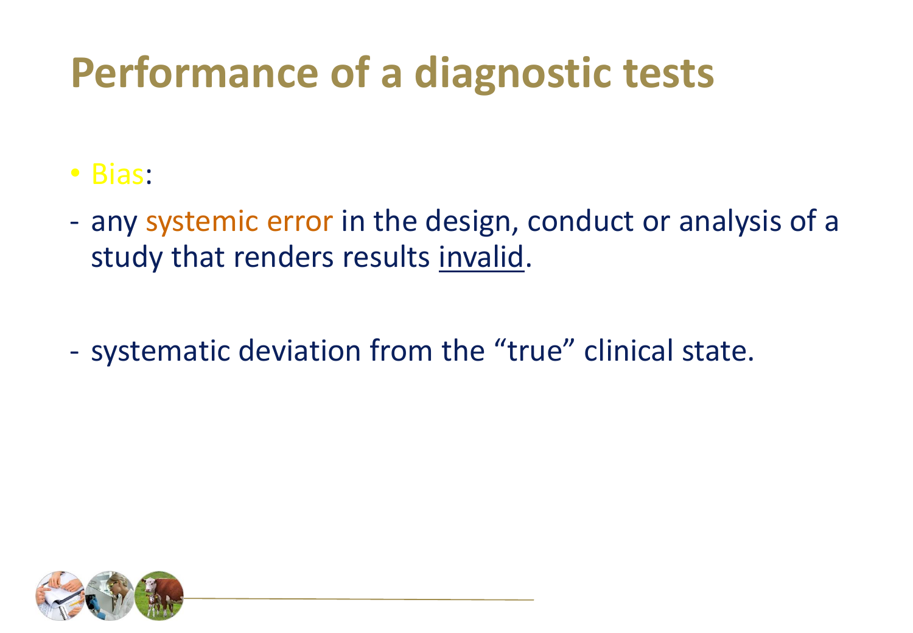- Bias:
- any systemic error in the design, conduct or analysis of a study that renders results invalid.
- systematic deviation from the "true" clinical state.

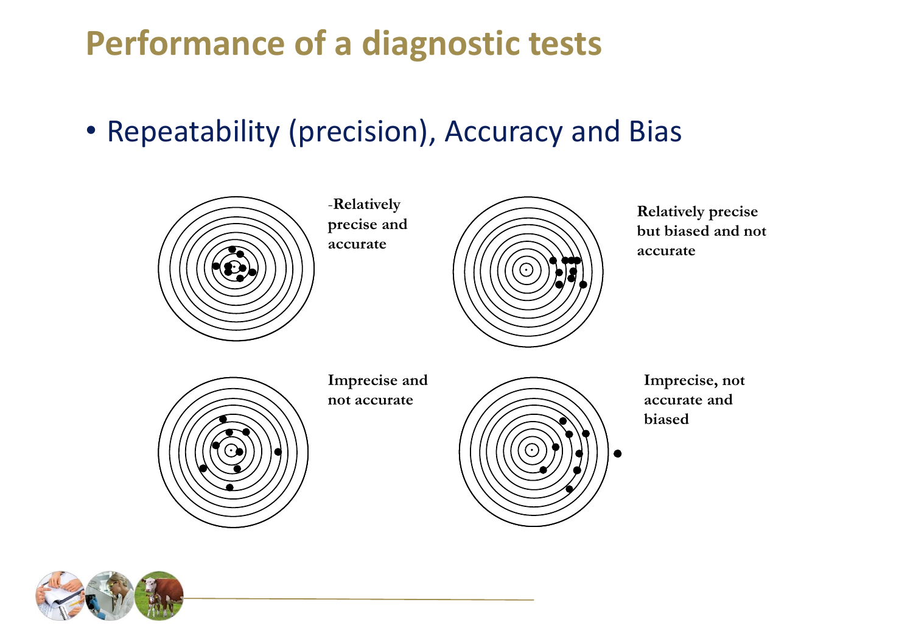• Repeatability (precision), Accuracy and Bias